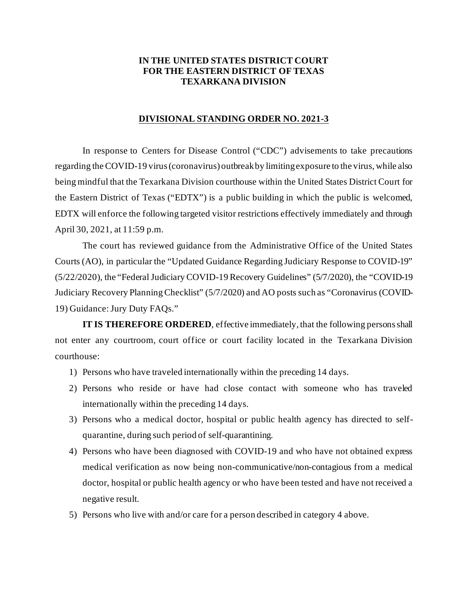## **IN THE UNITED STATES DISTRICT COURT FOR THE EASTERN DISTRICT OF TEXAS TEXARKANA DIVISION**

## **DIVISIONAL STANDING ORDER NO. 2021-3**

In response to Centers for Disease Control ("CDC") advisements to take precautions regarding the COVID-19 virus(coronavirus) outbreakby limiting exposure to the virus, while also being mindful that the Texarkana Division courthouse within the United States District Court for the Eastern District of Texas ("EDTX") is a public building in which the public is welcomed, EDTX will enforce the following targeted visitor restrictions effectively immediately and through April 30, 2021, at 11:59 p.m.

The court has reviewed guidance from the Administrative Office of the United States Courts (AO), in particular the "Updated Guidance Regarding Judiciary Response to COVID-19" (5/22/2020), the "Federal Judiciary COVID-19 Recovery Guidelines" (5/7/2020), the "COVID-19 Judiciary Recovery Planning Checklist" (5/7/2020) and AO posts such as "Coronavirus (COVID-19) Guidance: Jury Duty FAQs."

**IT IS THEREFORE ORDERED**, effective immediately, that the following persons shall not enter any courtroom, court office or court facility located in the Texarkana Division courthouse:

- 1) Persons who have traveled internationally within the preceding 14 days.
- 2) Persons who reside or have had close contact with someone who has traveled internationally within the preceding 14 days.
- 3) Persons who a medical doctor, hospital or public health agency has directed to selfquarantine, during such period of self-quarantining.
- 4) Persons who have been diagnosed with COVID-19 and who have not obtained express medical verification as now being non-communicative/non-contagious from a medical doctor, hospital or public health agency or who have been tested and have not received a negative result.
- 5) Persons who live with and/or care for a person described in category 4 above.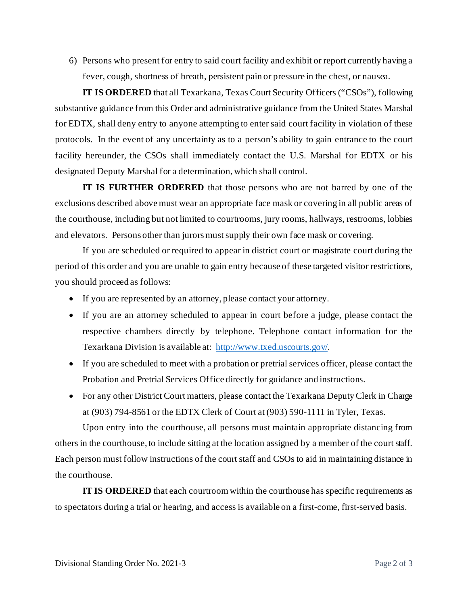6) Persons who present for entry to said court facility and exhibit or report currently having a fever, cough, shortness of breath, persistent pain or pressure in the chest, or nausea.

**IT IS ORDERED** that all Texarkana, Texas Court Security Officers ("CSOs"), following substantive guidance from this Order and administrative guidance from the United States Marshal for EDTX, shall deny entry to anyone attempting to enter said court facility in violation of these protocols. In the event of any uncertainty as to a person's ability to gain entrance to the court facility hereunder, the CSOs shall immediately contact the U.S. Marshal for EDTX or his designated Deputy Marshal for a determination, which shall control.

**IT IS FURTHER ORDERED** that those persons who are not barred by one of the exclusions described above must wear an appropriate face mask or covering in all public areas of the courthouse, including but not limited to courtrooms, jury rooms, hallways, restrooms, lobbies and elevators. Persons other than jurors must supply their own face mask or covering.

If you are scheduled or required to appear in district court or magistrate court during the period of this order and you are unable to gain entry because of these targeted visitor restrictions, you should proceed as follows:

- If you are represented by an attorney, please contact your attorney.
- If you are an attorney scheduled to appear in court before a judge, please contact the respective chambers directly by telephone. Telephone contact information for the Texarkana Division is available at: http://www.txed.uscourts.gov/.
- If you are scheduled to meet with a probation or pretrial services officer, please contact the Probation and Pretrial Services Office directly for guidance and instructions.
- For any other District Court matters, please contact the Texarkana Deputy Clerk in Charge at (903) 794-8561 or the EDTX Clerk of Court at (903) 590-1111 in Tyler, Texas.

Upon entry into the courthouse, all persons must maintain appropriate distancing from others in the courthouse, to include sitting at the location assigned by a member of the court staff. Each person must follow instructions of the court staff and CSOs to aid in maintaining distance in the courthouse.

**IT IS ORDERED** that each courtroom within the courthouse has specific requirements as to spectators during a trial or hearing, and access is available on a first-come, first-served basis.